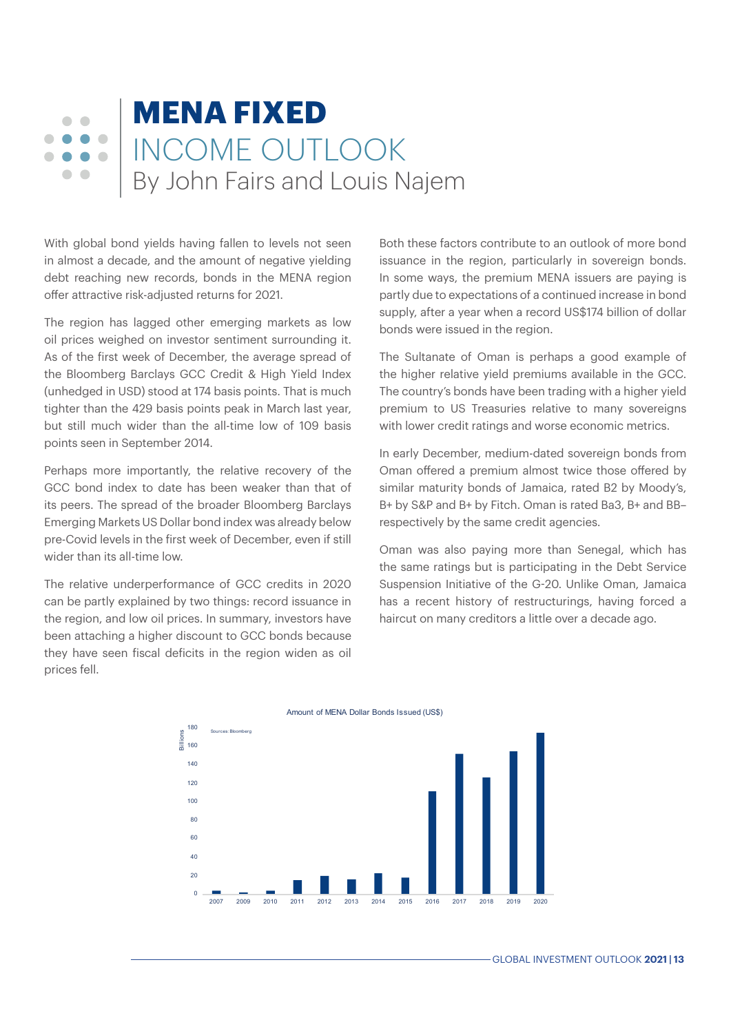## **MENA FIXED**  $\Box$  $\sqrt{2}$  $\bullet$   $\bullet$   $\bullet$ INCOME OUTLOOK  $\bullet\bullet\bullet$ By John Fairs and Louis Najem  $\bullet$   $\bullet$

With global bond yields having fallen to levels not seen in almost a decade, and the amount of negative yielding debt reaching new records, bonds in the MENA region offer attractive risk-adjusted returns for 2021.

The region has lagged other emerging markets as low oil prices weighed on investor sentiment surrounding it. As of the first week of December, the average spread of the Bloomberg Barclays GCC Credit & High Yield Index (unhedged in USD) stood at 174 basis points. That is much tighter than the 429 basis points peak in March last year, but still much wider than the all-time low of 109 basis points seen in September 2014.

Perhaps more importantly, the relative recovery of the GCC bond index to date has been weaker than that of its peers. The spread of the broader Bloomberg Barclays Emerging Markets US Dollar bond index was already below pre-Covid levels in the first week of December, even if still wider than its all-time low.

The relative underperformance of GCC credits in 2020 can be partly explained by two things: record issuance in the region, and low oil prices. In summary, investors have been attaching a higher discount to GCC bonds because they have seen fiscal deficits in the region widen as oil prices fell.

Both these factors contribute to an outlook of more bond issuance in the region, particularly in sovereign bonds. In some ways, the premium MENA issuers are paying is partly due to expectations of a continued increase in bond supply, after a year when a record US\$174 billion of dollar bonds were issued in the region.

The Sultanate of Oman is perhaps a good example of the higher relative yield premiums available in the GCC. The country's bonds have been trading with a higher yield premium to US Treasuries relative to many sovereigns with lower credit ratings and worse economic metrics.

In early December, medium-dated sovereign bonds from Oman offered a premium almost twice those offered by similar maturity bonds of Jamaica, rated B2 by Moody's, B+ by S&P and B+ by Fitch. Oman is rated Ba3, B+ and BB– respectively by the same credit agencies.

Oman was also paying more than Senegal, which has the same ratings but is participating in the Debt Service Suspension Initiative of the G-20. Unlike Oman, Jamaica has a recent history of restructurings, having forced a haircut on many creditors a little over a decade ago.



Amount of MENA Dollar Bonds Issued (US\$)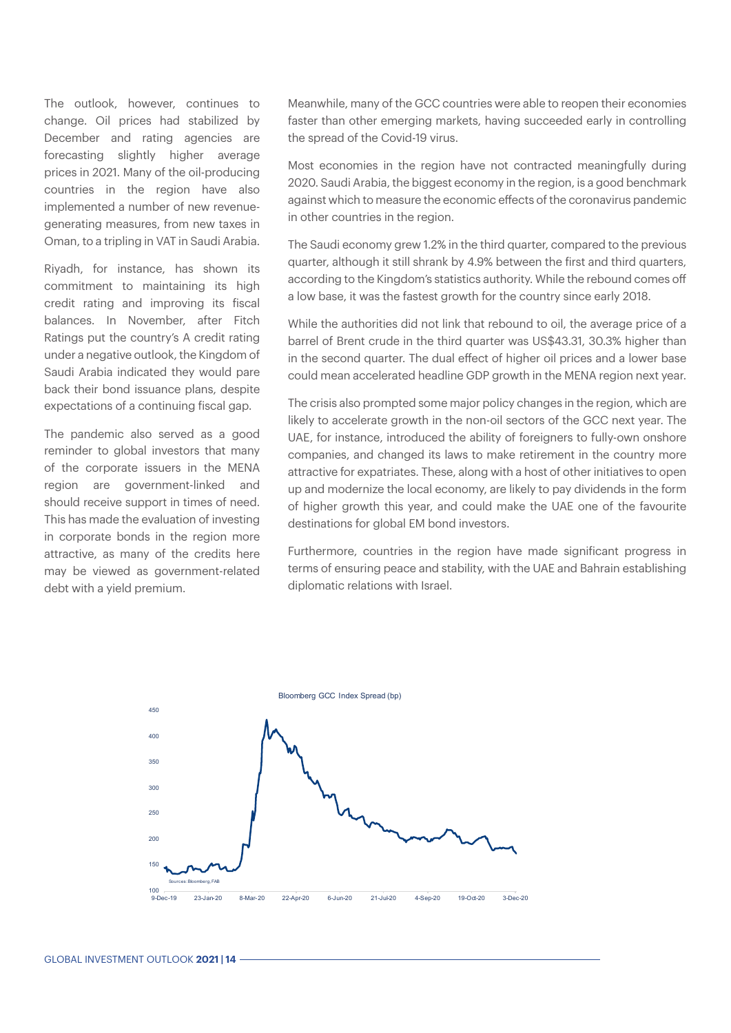The outlook, however, continues to change. Oil prices had stabilized by December and rating agencies are forecasting slightly higher average prices in 2021. Many of the oil-producing countries in the region have also implemented a number of new revenuegenerating measures, from new taxes in Oman, to a tripling in VAT in Saudi Arabia.

Riyadh, for instance, has shown its commitment to maintaining its high credit rating and improving its fiscal balances. In November, after Fitch Ratings put the country's A credit rating under a negative outlook, the Kingdom of Saudi Arabia indicated they would pare back their bond issuance plans, despite expectations of a continuing fiscal gap.

The pandemic also served as a good reminder to global investors that many of the corporate issuers in the MENA region are government-linked and should receive support in times of need. This has made the evaluation of investing in corporate bonds in the region more attractive, as many of the credits here may be viewed as government-related debt with a yield premium.

Meanwhile, many of the GCC countries were able to reopen their economies faster than other emerging markets, having succeeded early in controlling the spread of the Covid-19 virus.

Most economies in the region have not contracted meaningfully during 2020. Saudi Arabia, the biggest economy in the region, is a good benchmark against which to measure the economic effects of the coronavirus pandemic in other countries in the region.

The Saudi economy grew 1.2% in the third quarter, compared to the previous quarter, although it still shrank by 4.9% between the first and third quarters, according to the Kingdom's statistics authority. While the rebound comes off a low base, it was the fastest growth for the country since early 2018.

While the authorities did not link that rebound to oil, the average price of a barrel of Brent crude in the third quarter was US\$43.31, 30.3% higher than in the second quarter. The dual effect of higher oil prices and a lower base could mean accelerated headline GDP growth in the MENA region next year.

The crisis also prompted some major policy changes in the region, which are likely to accelerate growth in the non-oil sectors of the GCC next year. The UAE, for instance, introduced the ability of foreigners to fully-own onshore companies, and changed its laws to make retirement in the country more attractive for expatriates. These, along with a host of other initiatives to open up and modernize the local economy, are likely to pay dividends in the form of higher growth this year, and could make the UAE one of the favourite destinations for global EM bond investors.

Furthermore, countries in the region have made significant progress in terms of ensuring peace and stability, with the UAE and Bahrain establishing diplomatic relations with Israel.